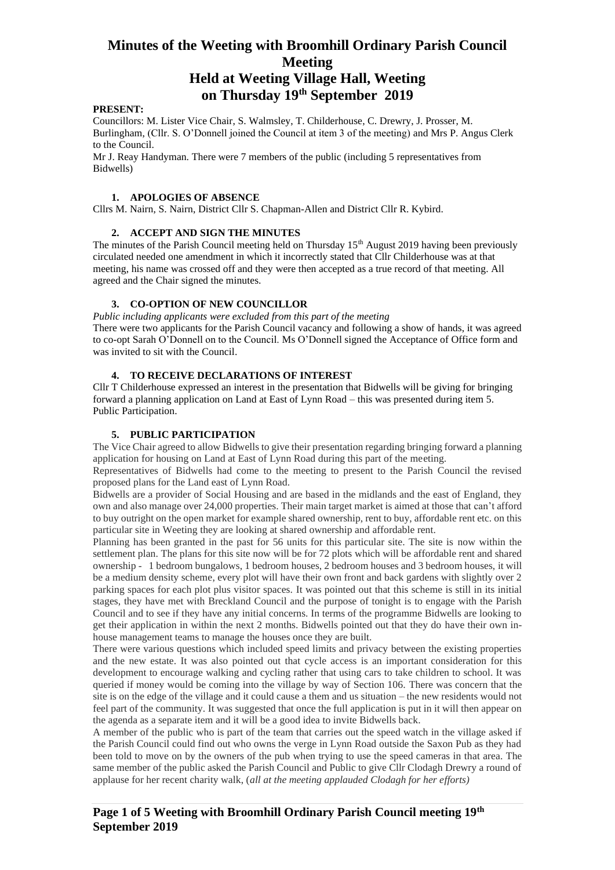### **on Thursday 19th September 2019**

#### **PRESENT:**

Councillors: M. Lister Vice Chair, S. Walmsley, T. Childerhouse, C. Drewry, J. Prosser, M. Burlingham, (Cllr. S. O'Donnell joined the Council at item 3 of the meeting) and Mrs P. Angus Clerk to the Council.

Mr J. Reay Handyman. There were 7 members of the public (including 5 representatives from Bidwells)

#### **1. APOLOGIES OF ABSENCE**

Cllrs M. Nairn, S. Nairn, District Cllr S. Chapman-Allen and District Cllr R. Kybird.

#### **2. ACCEPT AND SIGN THE MINUTES**

The minutes of the Parish Council meeting held on Thursday 15<sup>th</sup> August 2019 having been previously circulated needed one amendment in which it incorrectly stated that Cllr Childerhouse was at that meeting, his name was crossed off and they were then accepted as a true record of that meeting. All agreed and the Chair signed the minutes.

#### **3. CO-OPTION OF NEW COUNCILLOR**

*Public including applicants were excluded from this part of the meeting*

There were two applicants for the Parish Council vacancy and following a show of hands, it was agreed to co-opt Sarah O'Donnell on to the Council. Ms O'Donnell signed the Acceptance of Office form and was invited to sit with the Council.

#### **4. TO RECEIVE DECLARATIONS OF INTEREST**

Cllr T Childerhouse expressed an interest in the presentation that Bidwells will be giving for bringing forward a planning application on Land at East of Lynn Road – this was presented during item 5. Public Participation.

#### **5. PUBLIC PARTICIPATION**

The Vice Chair agreed to allow Bidwells to give their presentation regarding bringing forward a planning application for housing on Land at East of Lynn Road during this part of the meeting.

Representatives of Bidwells had come to the meeting to present to the Parish Council the revised proposed plans for the Land east of Lynn Road.

Bidwells are a provider of Social Housing and are based in the midlands and the east of England, they own and also manage over 24,000 properties. Their main target market is aimed at those that can't afford to buy outright on the open market for example shared ownership, rent to buy, affordable rent etc. on this particular site in Weeting they are looking at shared ownership and affordable rent.

Planning has been granted in the past for 56 units for this particular site. The site is now within the settlement plan. The plans for this site now will be for 72 plots which will be affordable rent and shared ownership - 1 bedroom bungalows, 1 bedroom houses, 2 bedroom houses and 3 bedroom houses, it will be a medium density scheme, every plot will have their own front and back gardens with slightly over 2 parking spaces for each plot plus visitor spaces. It was pointed out that this scheme is still in its initial stages, they have met with Breckland Council and the purpose of tonight is to engage with the Parish Council and to see if they have any initial concerns. In terms of the programme Bidwells are looking to get their application in within the next 2 months. Bidwells pointed out that they do have their own inhouse management teams to manage the houses once they are built.

There were various questions which included speed limits and privacy between the existing properties and the new estate. It was also pointed out that cycle access is an important consideration for this development to encourage walking and cycling rather that using cars to take children to school. It was queried if money would be coming into the village by way of Section 106. There was concern that the site is on the edge of the village and it could cause a them and us situation – the new residents would not feel part of the community. It was suggested that once the full application is put in it will then appear on the agenda as a separate item and it will be a good idea to invite Bidwells back.

A member of the public who is part of the team that carries out the speed watch in the village asked if the Parish Council could find out who owns the verge in Lynn Road outside the Saxon Pub as they had been told to move on by the owners of the pub when trying to use the speed cameras in that area. The same member of the public asked the Parish Council and Public to give Cllr Clodagh Drewry a round of applause for her recent charity walk, (*all at the meeting applauded Clodagh for her efforts)*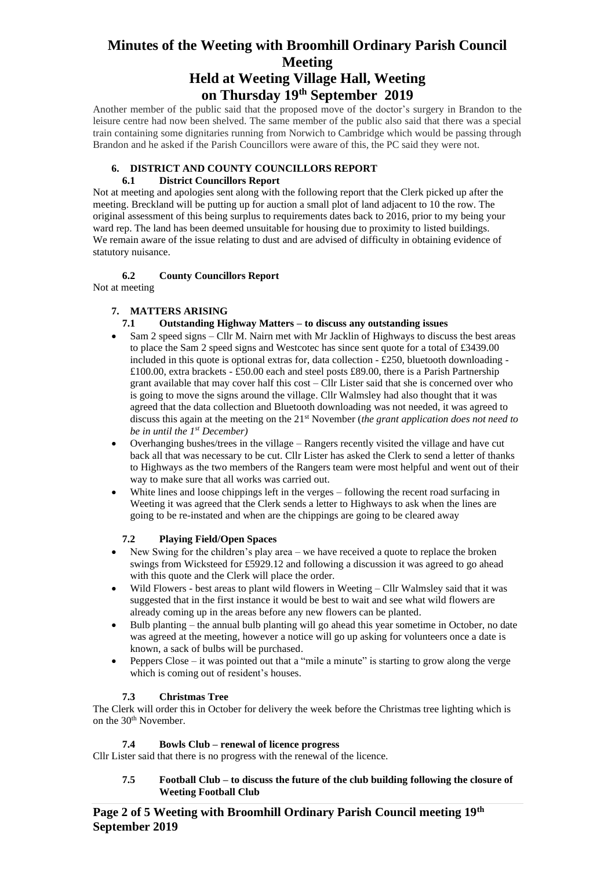**on Thursday 19th September 2019**

Another member of the public said that the proposed move of the doctor's surgery in Brandon to the leisure centre had now been shelved. The same member of the public also said that there was a special train containing some dignitaries running from Norwich to Cambridge which would be passing through Brandon and he asked if the Parish Councillors were aware of this, the PC said they were not.

#### **6. DISTRICT AND COUNTY COUNCILLORS REPORT**

#### **6.1 District Councillors Report**

Not at meeting and apologies sent along with the following report that the Clerk picked up after the meeting. Breckland will be putting up for auction a small plot of land adjacent to 10 the row. The original assessment of this being surplus to requirements dates back to 2016, prior to my being your ward rep. The land has been deemed unsuitable for housing due to proximity to listed buildings. We remain aware of the issue relating to dust and are advised of difficulty in obtaining evidence of statutory nuisance.

#### **6.2 County Councillors Report**

Not at meeting

#### **7. MATTERS ARISING**

#### **7.1 Outstanding Highway Matters – to discuss any outstanding issues**

- Sam 2 speed signs Cllr M. Nairn met with Mr Jacklin of Highways to discuss the best areas to place the Sam 2 speed signs and Westcotec has since sent quote for a total of £3439.00 included in this quote is optional extras for, data collection  $-\pounds 250$ , bluetooth downloading -£100.00, extra brackets - £50.00 each and steel posts £89.00, there is a Parish Partnership grant available that may cover half this cost – Cllr Lister said that she is concerned over who is going to move the signs around the village. Cllr Walmsley had also thought that it was agreed that the data collection and Bluetooth downloading was not needed, it was agreed to discuss this again at the meeting on the 21st November (*the grant application does not need to be in until the 1st December)*
- Overhanging bushes/trees in the village Rangers recently visited the village and have cut back all that was necessary to be cut. Cllr Lister has asked the Clerk to send a letter of thanks to Highways as the two members of the Rangers team were most helpful and went out of their way to make sure that all works was carried out.
- White lines and loose chippings left in the verges following the recent road surfacing in Weeting it was agreed that the Clerk sends a letter to Highways to ask when the lines are going to be re-instated and when are the chippings are going to be cleared away

#### **7.2 Playing Field/Open Spaces**

- New Swing for the children's play area we have received a quote to replace the broken swings from Wicksteed for £5929.12 and following a discussion it was agreed to go ahead with this quote and the Clerk will place the order.
- Wild Flowers best areas to plant wild flowers in Weeting Cllr Walmsley said that it was suggested that in the first instance it would be best to wait and see what wild flowers are already coming up in the areas before any new flowers can be planted.
- Bulb planting the annual bulb planting will go ahead this year sometime in October, no date was agreed at the meeting, however a notice will go up asking for volunteers once a date is known, a sack of bulbs will be purchased.
- Peppers Close it was pointed out that a "mile a minute" is starting to grow along the verge which is coming out of resident's houses.

#### **7.3 Christmas Tree**

The Clerk will order this in October for delivery the week before the Christmas tree lighting which is on the 30<sup>th</sup> November.

#### **7.4 Bowls Club – renewal of licence progress**

Cllr Lister said that there is no progress with the renewal of the licence.

#### **7.5 Football Club – to discuss the future of the club building following the closure of Weeting Football Club**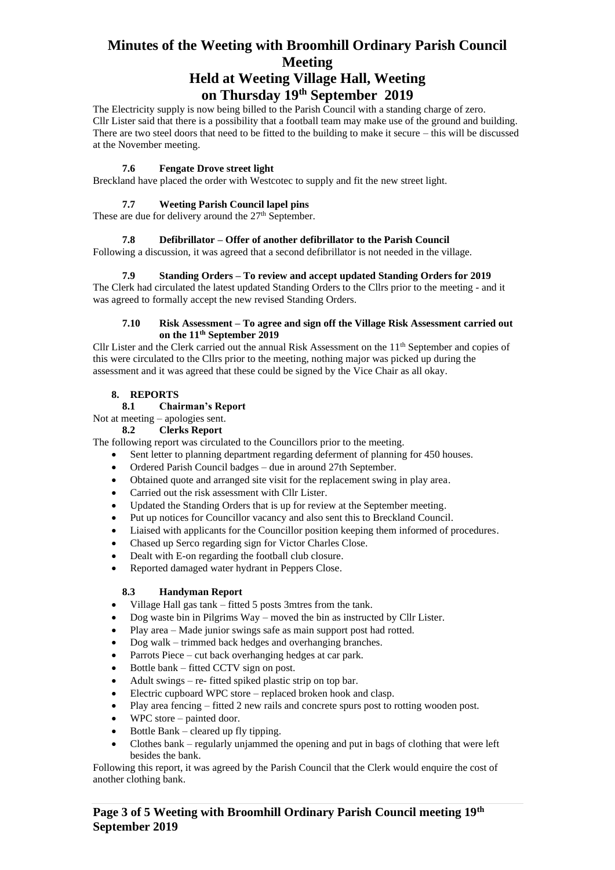## **on Thursday 19th September 2019**

The Electricity supply is now being billed to the Parish Council with a standing charge of zero. Cllr Lister said that there is a possibility that a football team may make use of the ground and building. There are two steel doors that need to be fitted to the building to make it secure – this will be discussed at the November meeting.

#### **7.6 Fengate Drove street light**

Breckland have placed the order with Westcotec to supply and fit the new street light.

#### **7.7 Weeting Parish Council lapel pins**

These are due for delivery around the  $27<sup>th</sup>$  September.

#### **7.8 Defibrillator – Offer of another defibrillator to the Parish Council**

Following a discussion, it was agreed that a second defibrillator is not needed in the village.

#### **7.9 Standing Orders – To review and accept updated Standing Orders for 2019**

The Clerk had circulated the latest updated Standing Orders to the Cllrs prior to the meeting - and it was agreed to formally accept the new revised Standing Orders.

#### **7.10 Risk Assessment – To agree and sign off the Village Risk Assessment carried out on the 11th September 2019**

Cllr Lister and the Clerk carried out the annual Risk Assessment on the  $11<sup>th</sup>$  September and copies of this were circulated to the Cllrs prior to the meeting, nothing major was picked up during the assessment and it was agreed that these could be signed by the Vice Chair as all okay.

#### **8. REPORTS**

#### **8.1 Chairman's Report**

### Not at meeting – apologies sent.

#### **8.2 Clerks Report**

The following report was circulated to the Councillors prior to the meeting.

- Sent letter to planning department regarding deferment of planning for 450 houses.
- Ordered Parish Council badges due in around 27th September.
- Obtained quote and arranged site visit for the replacement swing in play area.
- Carried out the risk assessment with Cllr Lister.
- Updated the Standing Orders that is up for review at the September meeting.
- Put up notices for Councillor vacancy and also sent this to Breckland Council.
- Liaised with applicants for the Councillor position keeping them informed of procedures.
- Chased up Serco regarding sign for Victor Charles Close.
- Dealt with E-on regarding the football club closure.
- Reported damaged water hydrant in Peppers Close.

#### **8.3 Handyman Report**

- Village Hall gas tank fitted 5 posts 3mtres from the tank.
- Dog waste bin in Pilgrims Way moved the bin as instructed by Cllr Lister.
- Play area Made junior swings safe as main support post had rotted.
- Dog walk trimmed back hedges and overhanging branches.
- Parrots Piece cut back overhanging hedges at car park.
- Bottle bank fitted CCTV sign on post.
- Adult swings re- fitted spiked plastic strip on top bar.
- Electric cupboard WPC store replaced broken hook and clasp.
- Play area fencing fitted 2 new rails and concrete spurs post to rotting wooden post.
- $WPC$  store painted door.
- Bottle Bank cleared up fly tipping.
- Clothes bank regularly unjammed the opening and put in bags of clothing that were left besides the bank.

Following this report, it was agreed by the Parish Council that the Clerk would enquire the cost of another clothing bank.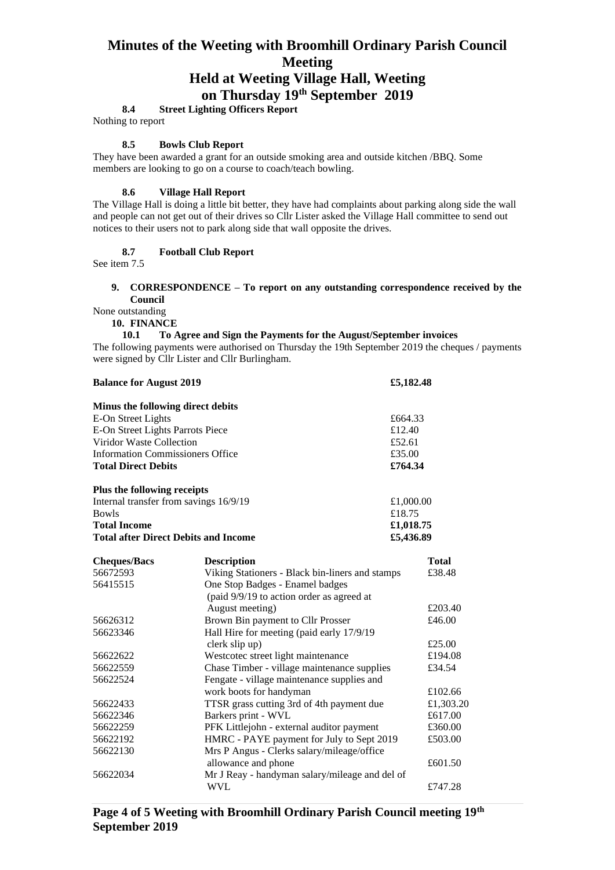**on Thursday 19th September 2019**

**8.4 Street Lighting Officers Report** 

Nothing to report

#### **8.5 Bowls Club Report**

They have been awarded a grant for an outside smoking area and outside kitchen /BBQ. Some members are looking to go on a course to coach/teach bowling.

#### **8.6 Village Hall Report**

The Village Hall is doing a little bit better, they have had complaints about parking along side the wall and people can not get out of their drives so Cllr Lister asked the Village Hall committee to send out notices to their users not to park along side that wall opposite the drives.

#### **8.7 Football Club Report**

See item 7.5

#### **9. CORRESPONDENCE – To report on any outstanding correspondence received by the Council**

None outstanding

**10. FINANCE**

#### **10.1 To Agree and Sign the Payments for the August/September invoices**

The following payments were authorised on Thursday the 19th September 2019 the cheques / payments were signed by Cllr Lister and Cllr Burlingham.

| <b>Balance for August 2019</b>              |                                                                                   | £5,182.48          |  |
|---------------------------------------------|-----------------------------------------------------------------------------------|--------------------|--|
| Minus the following direct debits           |                                                                                   |                    |  |
| E-On Street Lights                          | £664.33                                                                           |                    |  |
| E-On Street Lights Parrots Piece            | £12.40                                                                            |                    |  |
| Viridor Waste Collection                    | £52.61                                                                            |                    |  |
| <b>Information Commissioners Office</b>     |                                                                                   | £35.00             |  |
| <b>Total Direct Debits</b>                  | £764.34                                                                           |                    |  |
| Plus the following receipts                 |                                                                                   |                    |  |
| Internal transfer from savings 16/9/19      |                                                                                   | £1,000.00          |  |
| £18.75<br><b>Bowls</b>                      |                                                                                   |                    |  |
| <b>Total Income</b>                         |                                                                                   | £1,018.75          |  |
| <b>Total after Direct Debits and Income</b> |                                                                                   | £5,436.89          |  |
| <b>Cheques/Bacs</b>                         | <b>Description</b>                                                                | <b>Total</b>       |  |
| 56672593                                    | Viking Stationers - Black bin-liners and stamps                                   | £38.48             |  |
| 56415515                                    | One Stop Badges - Enamel badges                                                   |                    |  |
|                                             | (paid 9/9/19 to action order as agreed at                                         |                    |  |
|                                             | August meeting)                                                                   | £203.40            |  |
| 56626312                                    | Brown Bin payment to Cllr Prosser                                                 | £46.00             |  |
| 56623346                                    | Hall Hire for meeting (paid early 17/9/19<br>clerk slip up)                       | £25.00             |  |
| 56622622                                    |                                                                                   | £194.08            |  |
| 56622559                                    | Westcotec street light maintenance<br>Chase Timber - village maintenance supplies | £34.54             |  |
| 56622524                                    | Fengate - village maintenance supplies and                                        |                    |  |
|                                             | £102.66                                                                           |                    |  |
| 56622433                                    | work boots for handyman<br>TTSR grass cutting 3rd of 4th payment due              | £1,303.20          |  |
|                                             | Barkers print - WVL                                                               | £617.00            |  |
| 56622346                                    |                                                                                   |                    |  |
| 56622259                                    | PFK Littlejohn - external auditor payment                                         | £360.00<br>£503.00 |  |
| 56622192                                    | HMRC - PAYE payment for July to Sept 2019                                         |                    |  |
| 56622130                                    | Mrs P Angus - Clerks salary/mileage/office                                        |                    |  |
|                                             | allowance and phone                                                               | £601.50            |  |
| 56622034                                    | Mr J Reay - handyman salary/mileage and del of<br><b>WVL</b>                      |                    |  |
|                                             |                                                                                   | £747.28            |  |